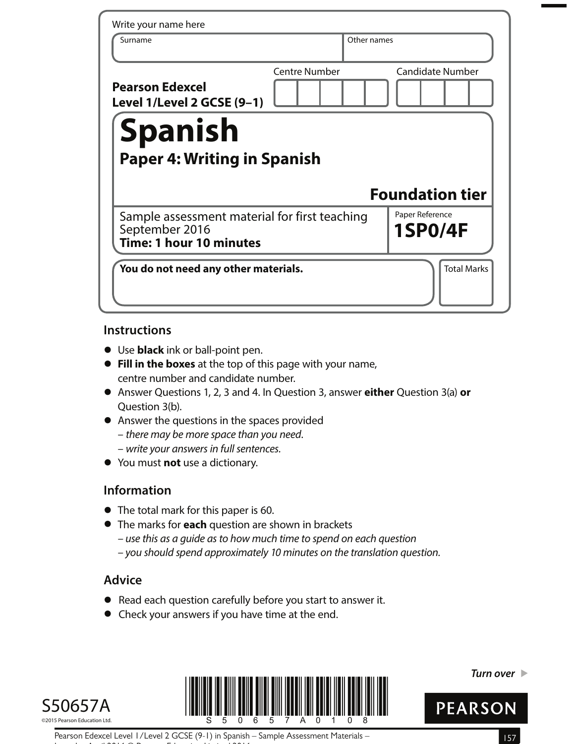| Write your name here                                                                       |                      |                                   |
|--------------------------------------------------------------------------------------------|----------------------|-----------------------------------|
| Surname                                                                                    | Other names          |                                   |
| <b>Pearson Edexcel</b><br>Level 1/Level 2 GCSE (9-1)                                       | <b>Centre Number</b> | <b>Candidate Number</b>           |
| <b>Spanish</b><br><b>Paper 4: Writing in Spanish</b>                                       |                      |                                   |
|                                                                                            |                      | <b>Foundation tier</b>            |
|                                                                                            |                      |                                   |
| Sample assessment material for first teaching<br>September 2016<br>Time: 1 hour 10 minutes |                      | Paper Reference<br><b>1SP0/4F</b> |

### **Instructions**

- **•** Use **black** ink or ball-point pen.
- **• Fill in the boxes** at the top of this page with your name, centre number and candidate number.
- **•** Answer Questions 1, 2, 3 and 4. In Question 3, answer **either** Question 3(a) **or** Question 3(b).
- **•** Answer the questions in the spaces provided
	- *there may be more space than you need*.
	- *write your answers in full sentences.*
- **•** You must **not** use a dictionary.

## **Information**

- **•** The total mark for this paper is 60.
- **•** The marks for **each** question are shown in brackets
	- *use this as a guide as to how much time to spend on each question*
	- *you should spend approximately 10 minutes on the translation question.*

# **Advice**

- **•** Read each question carefully before you start to answer it.
- **•** Check your answers if you have time at the end.







Pearson Edexcel Level 1/Level 2 GCSE (9-1) in Spanish – Sample Assessment Materials – 157 Issue 1 – April 2016 © Pearson Education Limited 2016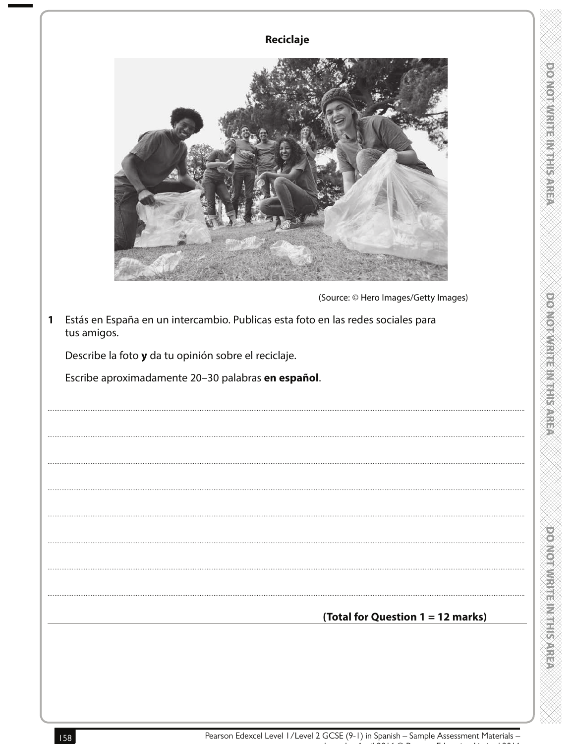|              | Reciclaje                                                                                       |
|--------------|-------------------------------------------------------------------------------------------------|
|              |                                                                                                 |
|              | (Source: © Hero Images/Getty Images)                                                            |
| $\mathbf{1}$ | Estás en España en un intercambio. Publicas esta foto en las redes sociales para<br>tus amigos. |
|              | Describe la foto y da tu opinión sobre el reciclaje.                                            |
|              | Escribe aproximadamente 20-30 palabras en español.                                              |
|              |                                                                                                 |
|              |                                                                                                 |
|              |                                                                                                 |
|              |                                                                                                 |
|              |                                                                                                 |
|              |                                                                                                 |
|              |                                                                                                 |
|              | (Total for Question 1 = 12 marks)                                                               |
|              |                                                                                                 |
|              |                                                                                                 |
|              |                                                                                                 |

DOMORWRITE MARINESWER

**DONOMIAL HERITARY CONSULT** 

 $\ddotsc$ 

....

....

...

polyophy and many is well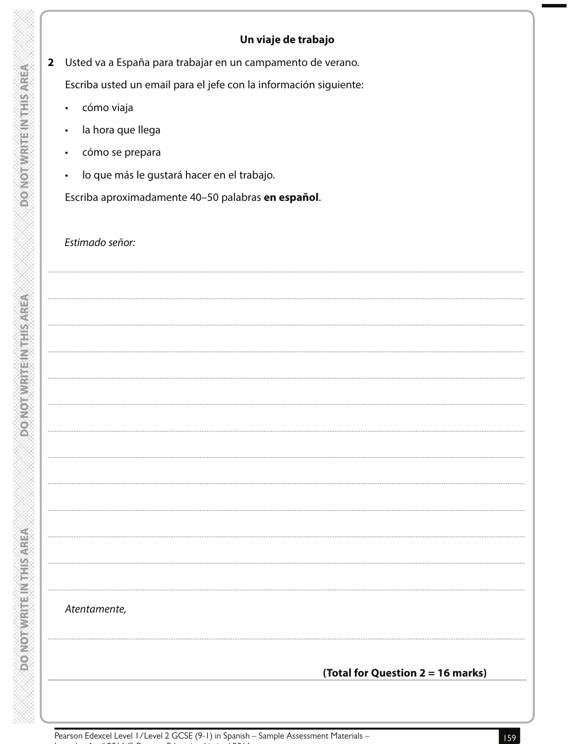#### Un viaje de trabajo

2 Usted va a España para trabajar en un campamento de verano. Escriba usted un email para el jefe con la información siguiente:

- cómo viaja  $\bullet$
- la hora que llega  $\bullet$
- cómo se prepara  $\bullet$
- lo que más le gustará hacer en el trabajo.  $\bullet$

Escriba aproximadamente 40-50 palabras en español.

#### Estimado señor:

Atentamente,

### (Total for Question 2 = 16 marks)

**DONOTWRITEINTHISAREA** 

**DOMOTWRITEINTHIS AREA**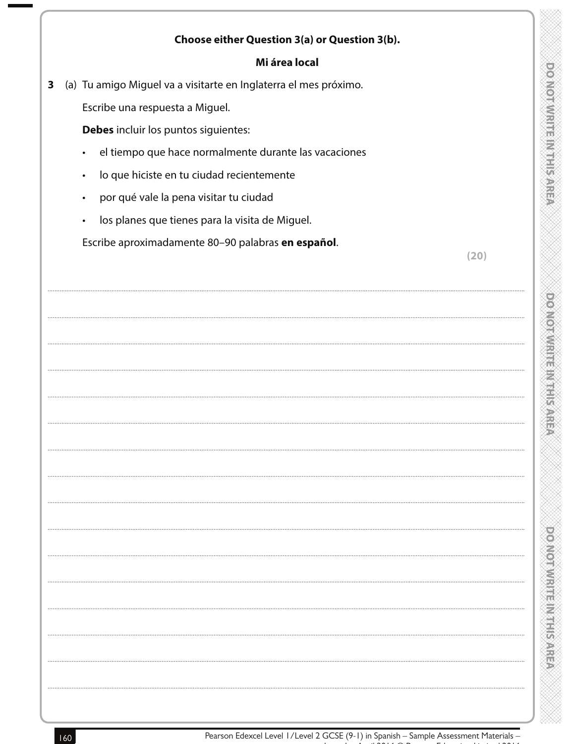| Choose either Question 3(a) or Question 3(b).                         |      |
|-----------------------------------------------------------------------|------|
| Mi área local                                                         |      |
| (a) Tu amigo Miguel va a visitarte en Inglaterra el mes próximo.<br>3 |      |
| Escribe una respuesta a Miguel.                                       |      |
| Debes incluir los puntos siguientes:                                  |      |
| el tiempo que hace normalmente durante las vacaciones<br>$\bullet$    |      |
| lo que hiciste en tu ciudad recientemente<br>$\bullet$                |      |
| por qué vale la pena visitar tu ciudad<br>$\bullet$                   |      |
| los planes que tienes para la visita de Miguel.<br>$\bullet$          |      |
| Escribe aproximadamente 80-90 palabras en español.                    |      |
|                                                                       | (20) |
|                                                                       |      |
|                                                                       |      |
|                                                                       |      |
|                                                                       |      |
|                                                                       |      |
|                                                                       |      |
|                                                                       |      |
|                                                                       |      |
|                                                                       |      |
|                                                                       |      |
|                                                                       |      |
|                                                                       |      |
|                                                                       |      |
|                                                                       |      |

DOMOROVICE IN A PARTICULAR STATE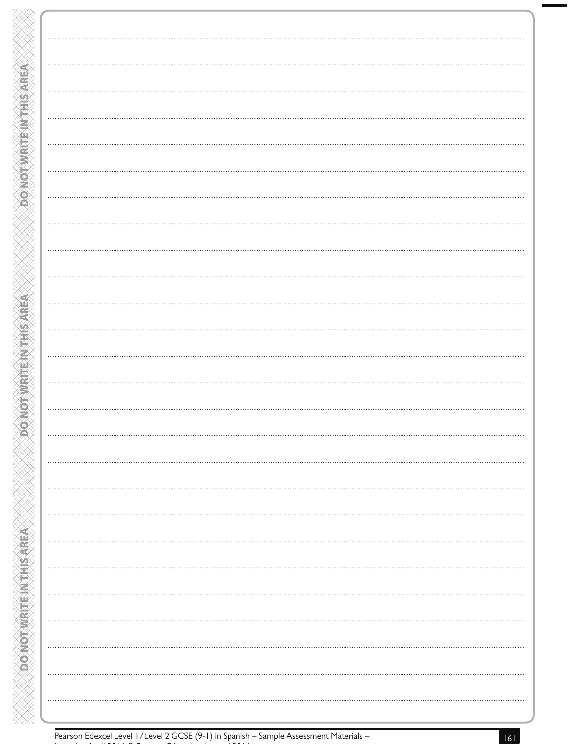|                               | . |
|-------------------------------|---|
|                               |   |
|                               |   |
|                               |   |
|                               |   |
|                               |   |
|                               |   |
|                               |   |
|                               |   |
|                               |   |
|                               |   |
| <b>FRANCISCO</b>              |   |
|                               |   |
|                               |   |
|                               |   |
|                               |   |
|                               |   |
|                               |   |
|                               |   |
|                               |   |
|                               |   |
|                               |   |
|                               |   |
|                               |   |
|                               |   |
|                               |   |
|                               |   |
|                               |   |
|                               |   |
|                               |   |
|                               |   |
| <b>METHER NEWSPIEL</b>        |   |
|                               |   |
|                               |   |
|                               |   |
|                               |   |
|                               |   |
|                               |   |
|                               |   |
|                               |   |
|                               |   |
|                               |   |
|                               |   |
|                               |   |
|                               |   |
|                               |   |
|                               |   |
|                               |   |
|                               |   |
|                               |   |
|                               |   |
|                               |   |
|                               |   |
|                               |   |
|                               |   |
|                               |   |
|                               |   |
|                               |   |
|                               |   |
|                               |   |
|                               |   |
|                               |   |
|                               |   |
|                               |   |
|                               |   |
|                               |   |
|                               |   |
|                               |   |
|                               | . |
|                               |   |
|                               |   |
|                               |   |
|                               |   |
|                               |   |
|                               |   |
|                               |   |
| <b>REPARENT PLANE LONGONO</b> |   |
|                               |   |
|                               |   |
|                               |   |
|                               |   |
|                               |   |
|                               |   |
|                               |   |
|                               |   |

Pearson Edexcel Level 1/Level 2 GCSE (9-1) in Spanish - Sample Assessment Materials -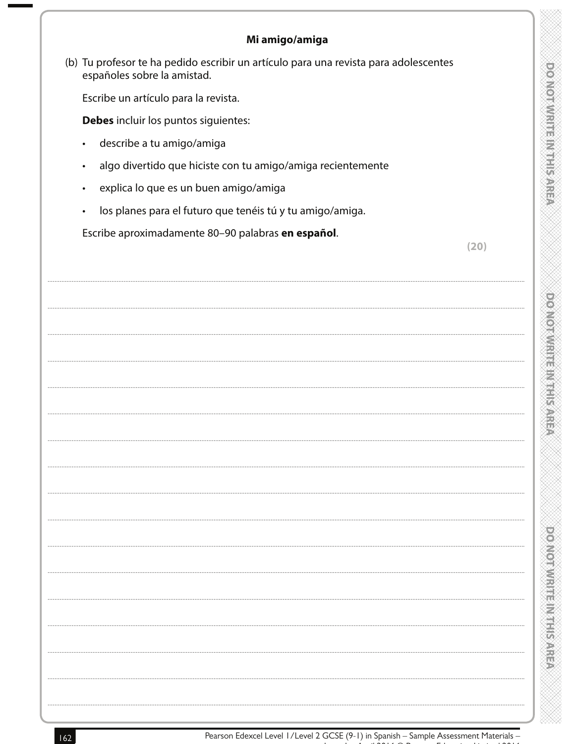|  | Mi amigo/amiga |  |
|--|----------------|--|
|--|----------------|--|

| (b) Tu profesor te ha pedido escribir un artículo para una revista para adolescentes |
|--------------------------------------------------------------------------------------|
| españoles sobre la amistad.                                                          |

Escribe un artículo para la revista.

Debes incluir los puntos siguientes:

- describe a tu amigo/amiga
- algo divertido que hiciste con tu amigo/amiga recientemente
- explica lo que es un buen amigo/amiga
- los planes para el futuro que tenéis tú y tu amigo/amiga.

Escribe aproximadamente 80-90 palabras en español.

 $(20)$ 

**DOMORWICH NET HARDERS** 

**DONOMIC NEWSPAPE** 

**DO NOTWRITE IN THIS AREA**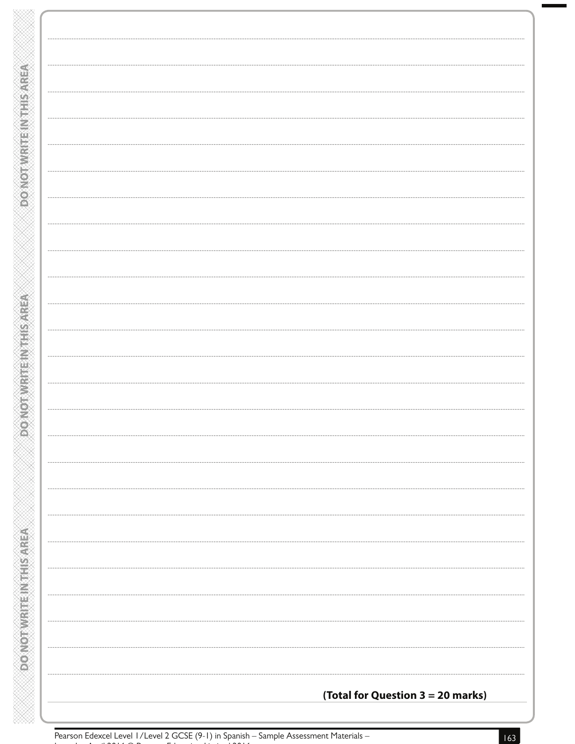| (Total for Question 3 = 20 marks) |
|-----------------------------------|

Pearson Edexcel Level 1/Level 2 GCSE (9-1) in Spanish - Sample Assessment Materials -